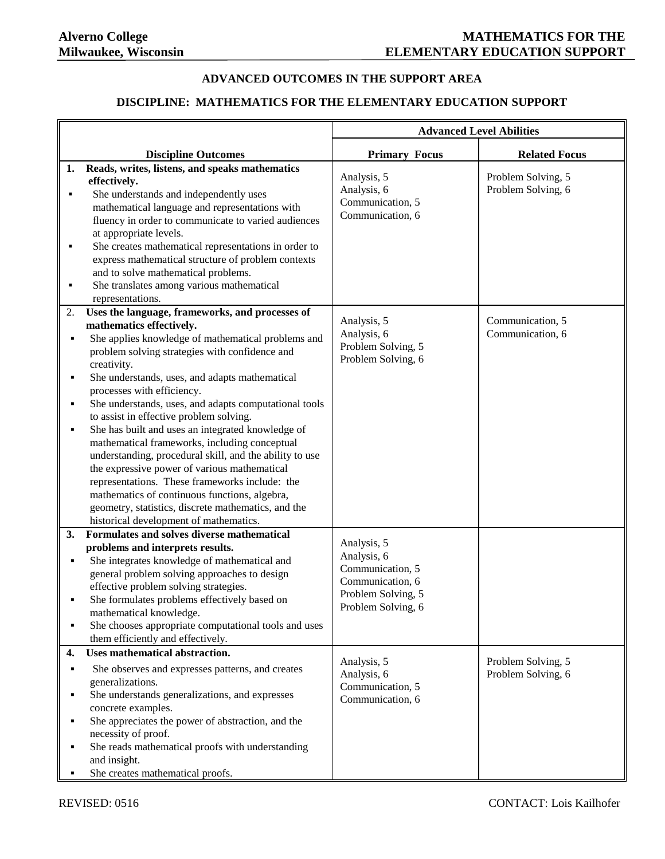## **ADVANCED OUTCOMES IN THE SUPPORT AREA**

# **DISCIPLINE: MATHEMATICS FOR THE ELEMENTARY EDUCATION SUPPORT**

|    |                                                         | <b>Advanced Level Abilities</b>          |                      |
|----|---------------------------------------------------------|------------------------------------------|----------------------|
|    | <b>Discipline Outcomes</b>                              | <b>Primary Focus</b>                     | <b>Related Focus</b> |
| 1. | Reads, writes, listens, and speaks mathematics          |                                          |                      |
|    | effectively.                                            | Analysis, 5                              | Problem Solving, 5   |
| ٠  | She understands and independently uses                  | Analysis, 6                              | Problem Solving, 6   |
|    | mathematical language and representations with          | Communication, 5                         |                      |
|    | fluency in order to communicate to varied audiences     | Communication, 6                         |                      |
|    | at appropriate levels.                                  |                                          |                      |
| ٠  | She creates mathematical representations in order to    |                                          |                      |
|    | express mathematical structure of problem contexts      |                                          |                      |
|    | and to solve mathematical problems.                     |                                          |                      |
| ٠  | She translates among various mathematical               |                                          |                      |
|    | representations.                                        |                                          |                      |
| 2. | Uses the language, frameworks, and processes of         |                                          |                      |
|    | mathematics effectively.                                | Analysis, 5                              | Communication, 5     |
| ٠  | She applies knowledge of mathematical problems and      | Analysis, 6                              | Communication, 6     |
|    | problem solving strategies with confidence and          | Problem Solving, 5                       |                      |
|    | creativity.                                             | Problem Solving, 6                       |                      |
| ٠  | She understands, uses, and adapts mathematical          |                                          |                      |
|    | processes with efficiency.                              |                                          |                      |
| ٠  | She understands, uses, and adapts computational tools   |                                          |                      |
|    | to assist in effective problem solving.                 |                                          |                      |
| ٠  | She has built and uses an integrated knowledge of       |                                          |                      |
|    | mathematical frameworks, including conceptual           |                                          |                      |
|    | understanding, procedural skill, and the ability to use |                                          |                      |
|    | the expressive power of various mathematical            |                                          |                      |
|    | representations. These frameworks include: the          |                                          |                      |
|    | mathematics of continuous functions, algebra,           |                                          |                      |
|    | geometry, statistics, discrete mathematics, and the     |                                          |                      |
|    | historical development of mathematics.                  |                                          |                      |
| 3. | Formulates and solves diverse mathematical              |                                          |                      |
|    | problems and interprets results.                        | Analysis, 5                              |                      |
| ٠  | She integrates knowledge of mathematical and            | Analysis, 6                              |                      |
|    | general problem solving approaches to design            | Communication, 5                         |                      |
|    | effective problem solving strategies.                   | Communication, 6                         |                      |
|    | She formulates problems effectively based on            | Problem Solving, 5<br>Problem Solving, 6 |                      |
|    | mathematical knowledge.                                 |                                          |                      |
| ٠  | She chooses appropriate computational tools and uses    |                                          |                      |
|    | them efficiently and effectively.                       |                                          |                      |
| 4. | Uses mathematical abstraction.                          | Analysis, 5                              | Problem Solving, 5   |
|    | She observes and expresses patterns, and creates        | Analysis, 6                              | Problem Solving, 6   |
|    | generalizations.                                        | Communication, 5                         |                      |
| ٠  | She understands generalizations, and expresses          | Communication, 6                         |                      |
|    | concrete examples.                                      |                                          |                      |
|    | She appreciates the power of abstraction, and the       |                                          |                      |
|    | necessity of proof.                                     |                                          |                      |
|    | She reads mathematical proofs with understanding        |                                          |                      |
|    | and insight.                                            |                                          |                      |
|    | She creates mathematical proofs.                        |                                          |                      |